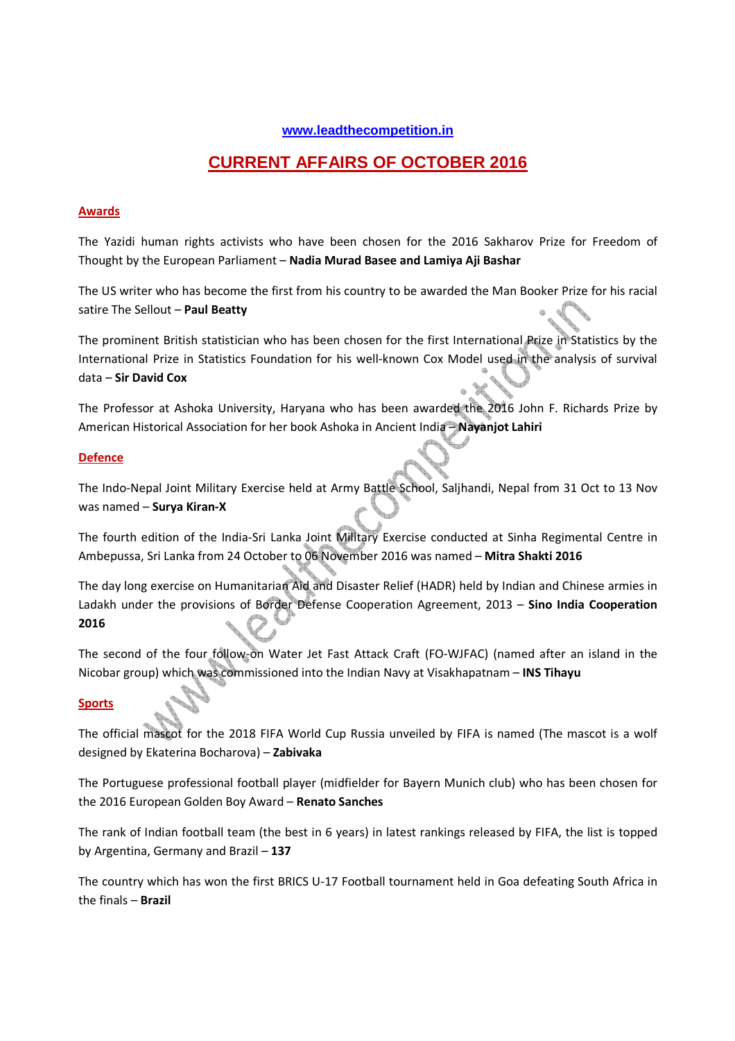### **www.leadthecompetition.in**

# **CURRENT AFFAIRS OF OCTOBER 2016**

#### **Awards**

The Yazidi human rights activists who have been chosen for the 2016 Sakharov Prize for Freedom of Thought by the European Parliament – **Nadia Murad Basee and Lamiya Aji Bashar**

The US writer who has become the first from his country to be awarded the Man Booker Prize for his racial satire The Sellout – **Paul Beatty** 

The prominent British statistician who has been chosen for the first International Prize in Statistics by the International Prize in Statistics Foundation for his well-known Cox Model used in the analysis of survival data – **Sir David Cox**

The Professor at Ashoka University, Haryana who has been awarded the 2016 John F. Richards Prize by American Historical Association for her book Ashoka in Ancient India – **Nayanjot Lahiri**

#### **Defence**

The Indo-Nepal Joint Military Exercise held at Army Battle School, Saljhandi, Nepal from 31 Oct to 13 Nov was named – **Surya Kiran-X**

The fourth edition of the India-Sri Lanka Joint Military Exercise conducted at Sinha Regimental Centre in Ambepussa, Sri Lanka from 24 October to 06 November 2016 was named – **Mitra Shakti 2016**

The day long exercise on Humanitarian Aid and Disaster Relief (HADR) held by Indian and Chinese armies in Ladakh under the provisions of Border Defense Cooperation Agreement, 2013 – **Sino India Cooperation 2016**

The second of the four follow-on Water Jet Fast Attack Craft (FO-WJFAC) (named after an island in the Nicobar group) which was commissioned into the Indian Navy at Visakhapatnam – **INS Tihayu**

### **Sports**

The official mascot for the 2018 FIFA World Cup Russia unveiled by FIFA is named (The mascot is a wolf designed by Ekaterina Bocharova) – **Zabivaka**

The Portuguese professional football player (midfielder for Bayern Munich club) who has been chosen for the 2016 European Golden Boy Award – **Renato Sanches** 

The rank of Indian football team (the best in 6 years) in latest rankings released by FIFA, the list is topped by Argentina, Germany and Brazil – **137** 

The country which has won the first BRICS U-17 Football tournament held in Goa defeating South Africa in the finals – **Brazil**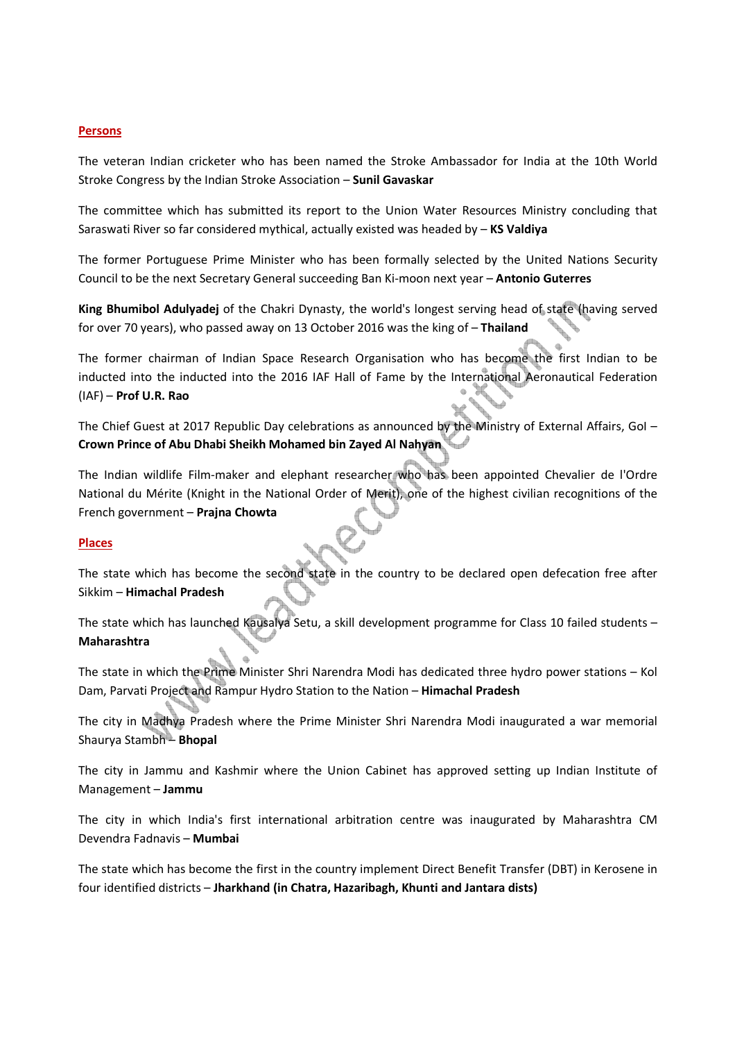#### **Persons**

The veteran Indian cricketer who has been named the Stroke Ambassador for India at the 10th World Stroke Congress by the Indian Stroke Association – **Sunil Gavaskar** 

The committee which has submitted its report to the Union Water Resources Ministry concluding that Saraswati River so far considered mythical, actually existed was headed by – **KS Valdiya**

The former Portuguese Prime Minister who has been formally selected by the United Nations Security Council to be the next Secretary General succeeding Ban Ki-moon next year – **Antonio Guterres**

**King Bhumibol Adulyadej** of the Chakri Dynasty, the world's longest serving head of state (having served for over 70 years), who passed away on 13 October 2016 was the king of – **Thailand**

The former chairman of Indian Space Research Organisation who has become the first Indian to be inducted into the inducted into the 2016 IAF Hall of Fame by the International Aeronautical Federation w (IAF) – **Prof U.R. Rao**

The Chief Guest at 2017 Republic Day celebrations as announced by the Ministry of External Affairs, GoI -**Crown Prince of Abu Dhabi Sheikh Mohamed bin Zayed Al Nahyan** 

The Indian wildlife Film-maker and elephant researcher who has been appointed Chevalier de l'Ordre National du Mérite (Knight in the National Order of Merit), one of the highest civilian recognitions of the French government – **Prajna Chowta**

#### **Places**

The state which has become the second state in the country to be declared open defecation free after Sikkim – **Himachal Pradesh**

The state which has launched Kausalya Setu, a skill development programme for Class 10 failed students -**Maharashtra**

The state in which the Prime Minister Shri Narendra Modi has dedicated three hydro power stations – Kol Dam, Parvati Project and Rampur Hydro Station to the Nation – **Himachal Pradesh**

The city in Madhya Pradesh where the Prime Minister Shri Narendra Modi inaugurated a war memorial Shaurya Stambh – **Bhopal**

The city in Jammu and Kashmir where the Union Cabinet has approved setting up Indian Institute of Management – **Jammu** 

The city in which India's first international arbitration centre was inaugurated by Maharashtra CM Devendra Fadnavis – **Mumbai** 

The state which has become the first in the country implement Direct Benefit Transfer (DBT) in Kerosene in four identified districts – **Jharkhand (in Chatra, Hazaribagh, Khunti and Jantara dists)**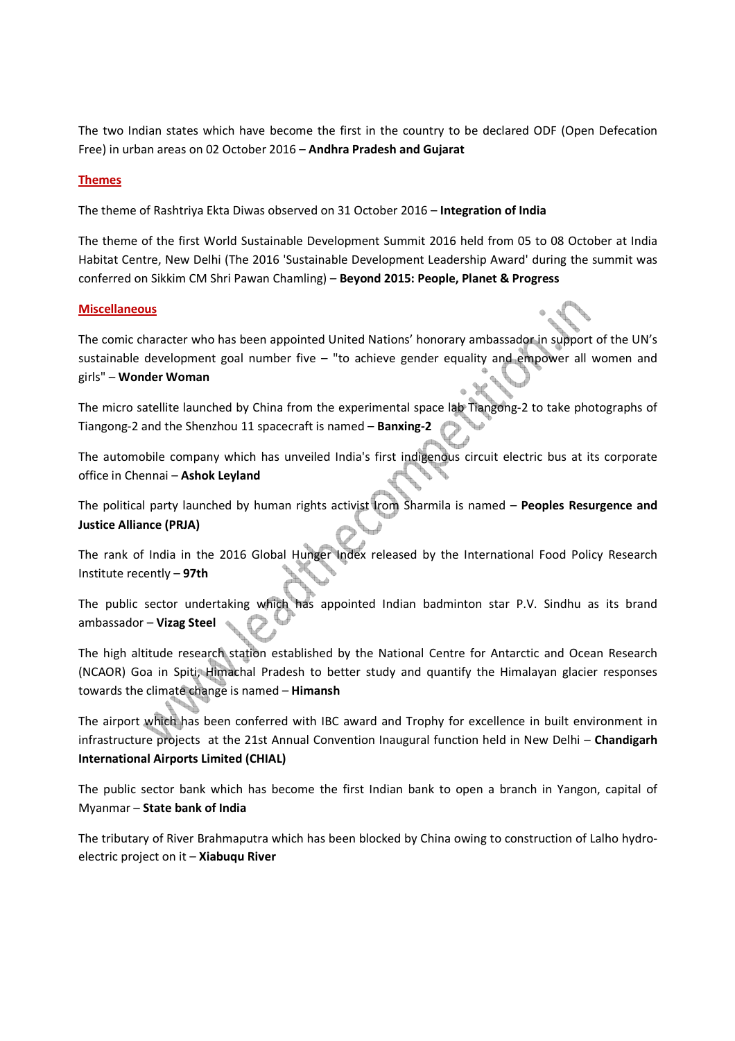The two Indian states which have become the first in the country to be declared ODF (Open Defecation Free) in urban areas on 02 October 2016 – **Andhra Pradesh and Gujarat**

#### **Themes**

The theme of Rashtriya Ekta Diwas observed on 31 October 2016 – **Integration of India** 

The theme of the first World Sustainable Development Summit 2016 held from 05 to 08 October at India Habitat Centre, New Delhi (The 2016 'Sustainable Development Leadership Award' during the summit was conferred on Sikkim CM Shri Pawan Chamling) – **Beyond 2015: People, Planet & Progress**

#### **Miscellaneous**

The comic character who has been appointed United Nations' honorary ambassador in support of the UN's sustainable development goal number five – "to achieve gender equality and empower all women and girls" – **Wonder Woman**

The micro satellite launched by China from the experimental space lab Tiangong-2 to take photographs of Tiangong-2 and the Shenzhou 11 spacecraft is named – **Banxing-2**

The automobile company which has unveiled India's first indigenous circuit electric bus at its corporate office in Chennai – **Ashok Leyland**

The political party launched by human rights activist Irom Sharmila is named – **Peoples Resurgence and Justice Alliance (PRJA)**

The rank of India in the 2016 Global Hunger Index released by the International Food Policy Research Institute recently – **97th**

The public sector undertaking which has appointed Indian badminton star P.V. Sindhu as its brand ambassador – **Vizag Steel**

The high altitude research station established by the National Centre for Antarctic and Ocean Research (NCAOR) Goa in Spiti, Himachal Pradesh to better study and quantify the Himalayan glacier responses towards the climate change is named – **Himansh**

The airport which has been conferred with IBC award and Trophy for excellence in built environment in infrastructure projects at the 21st Annual Convention Inaugural function held in New Delhi – **Chandigarh International Airports Limited (CHIAL)**

The public sector bank which has become the first Indian bank to open a branch in Yangon, capital of Myanmar – **State bank of India** 

The tributary of River Brahmaputra which has been blocked by China owing to construction of Lalho hydroelectric project on it – **Xiabuqu River**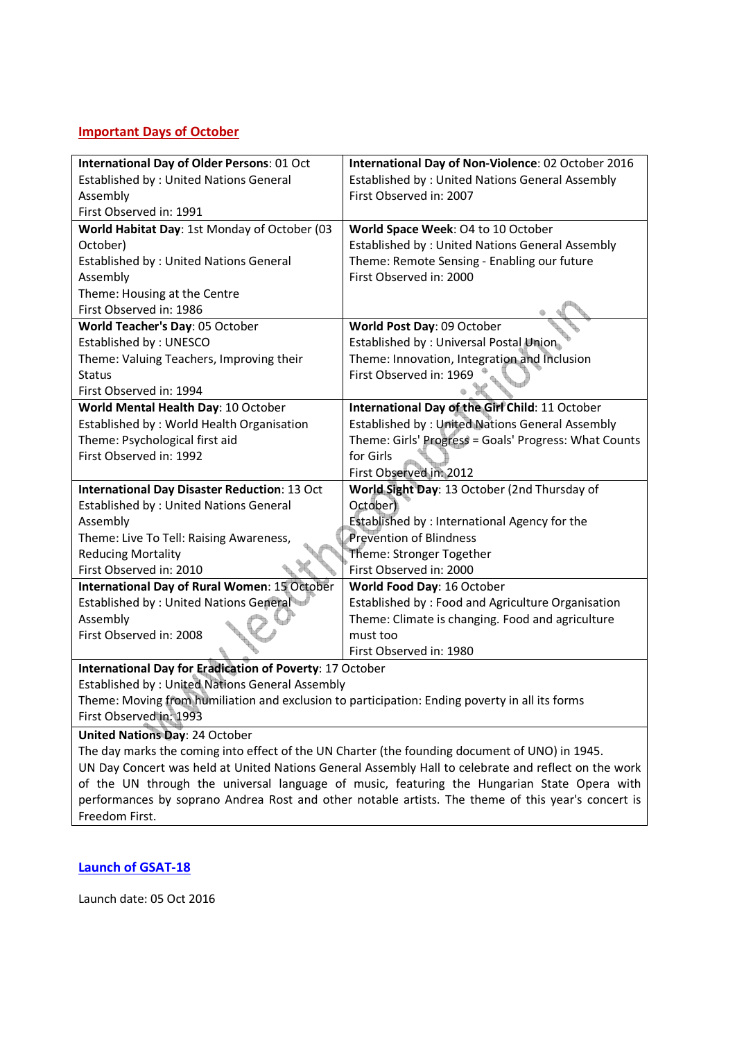## **Important Days of October**

| <b>International Day of Older Persons: 01 Oct</b>                                                    | International Day of Non-Violence: 02 October 2016     |  |  |
|------------------------------------------------------------------------------------------------------|--------------------------------------------------------|--|--|
| <b>Established by: United Nations General</b>                                                        | Established by: United Nations General Assembly        |  |  |
| Assembly                                                                                             | First Observed in: 2007                                |  |  |
| First Observed in: 1991                                                                              |                                                        |  |  |
| World Habitat Day: 1st Monday of October (03                                                         | World Space Week: 04 to 10 October                     |  |  |
| October)                                                                                             | <b>Established by: United Nations General Assembly</b> |  |  |
| <b>Established by: United Nations General</b>                                                        | Theme: Remote Sensing - Enabling our future            |  |  |
| Assembly                                                                                             | First Observed in: 2000                                |  |  |
| Theme: Housing at the Centre                                                                         |                                                        |  |  |
| First Observed in: 1986                                                                              |                                                        |  |  |
| World Teacher's Day: 05 October                                                                      | World Post Day: 09 October                             |  |  |
| Established by: UNESCO                                                                               | Established by : Universal Postal Union                |  |  |
| Theme: Valuing Teachers, Improving their                                                             | Theme: Innovation, Integration and Inclusion           |  |  |
| <b>Status</b>                                                                                        | First Observed in: 1969                                |  |  |
| First Observed in: 1994                                                                              |                                                        |  |  |
| World Mental Health Day: 10 October                                                                  | International Day of the Girl Child: 11 October        |  |  |
| Established by: World Health Organisation                                                            | <b>Established by: United Nations General Assembly</b> |  |  |
| Theme: Psychological first aid                                                                       | Theme: Girls' Progress = Goals' Progress: What Counts  |  |  |
| First Observed in: 1992                                                                              | for Girls                                              |  |  |
|                                                                                                      | First Observed in: 2012                                |  |  |
| <b>International Day Disaster Reduction: 13 Oct</b>                                                  | World Sight Day: 13 October (2nd Thursday of           |  |  |
| <b>Established by: United Nations General</b>                                                        | October)                                               |  |  |
| Assembly                                                                                             | Established by : International Agency for the          |  |  |
| <b>Prevention of Blindness</b><br>Theme: Live To Tell: Raising Awareness,                            |                                                        |  |  |
| <b>Reducing Mortality</b>                                                                            | Theme: Stronger Together                               |  |  |
| First Observed in: 2010                                                                              | First Observed in: 2000                                |  |  |
| <b>International Day of Rural Women: 15 October</b>                                                  | World Food Day: 16 October                             |  |  |
| Established by: United Nations General                                                               | Established by: Food and Agriculture Organisation      |  |  |
| Assembly                                                                                             | Theme: Climate is changing. Food and agriculture       |  |  |
| First Observed in: 2008                                                                              | must too                                               |  |  |
|                                                                                                      | First Observed in: 1980                                |  |  |
| International Day for Eradication of Poverty: 17 October                                             |                                                        |  |  |
| <b>Established by: United Nations General Assembly</b>                                               |                                                        |  |  |
| Theme: Moving from humiliation and exclusion to participation: Ending poverty in all its forms       |                                                        |  |  |
| First Observed in: 1993                                                                              |                                                        |  |  |
| <b>United Nations Day: 24 October</b>                                                                |                                                        |  |  |
| The day marks the coming into effect of the UN Charter (the founding document of UNO) in 1945.       |                                                        |  |  |
| UN Day Concert was held at United Nations General Assembly Hall to celebrate and reflect on the work |                                                        |  |  |
| of the UN through the universal language of music, featuring the Hungarian State Opera with          |                                                        |  |  |

performances by soprano Andrea Rost and other notable artists. The theme of this year's concert is

**Launch of GSAT-18**

Freedom First.

Launch date: 05 Oct 2016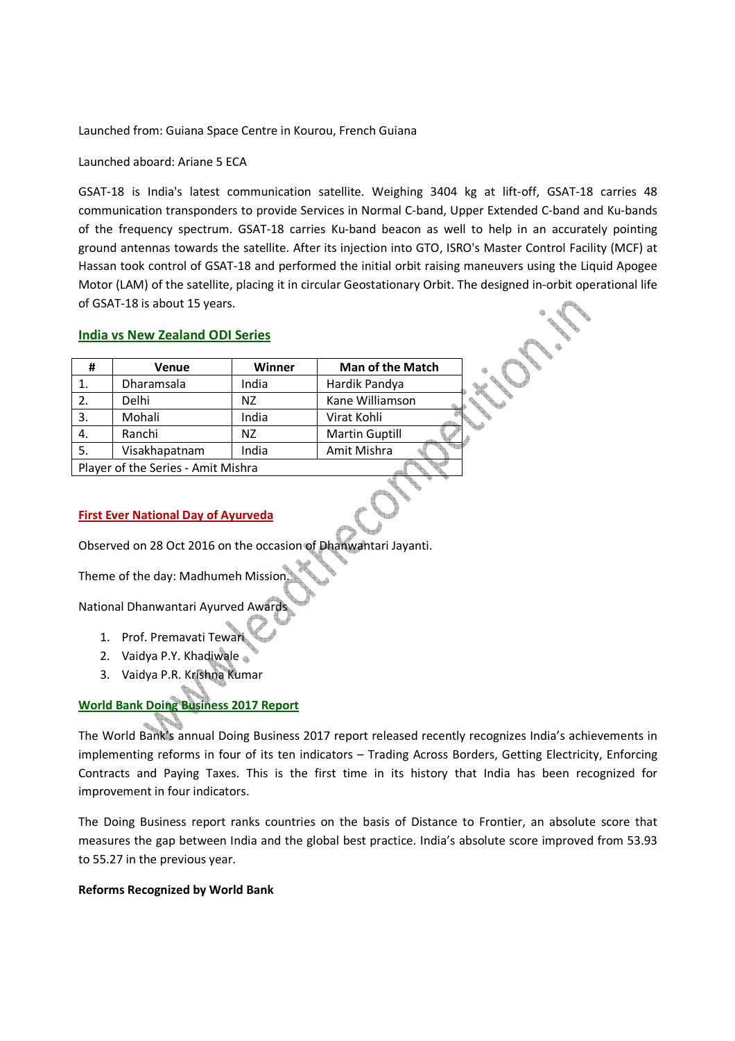Launched from: Guiana Space Centre in Kourou, French Guiana

Launched aboard: Ariane 5 ECA

GSAT-18 is India's latest communication satellite. Weighing 3404 kg at lift-off, GSAT-18 carries 48 communication transponders to provide Services in Normal C-band, Upper Extended C-band and Ku-bands of the frequency spectrum. GSAT-18 carries Ku-band beacon as well to help in an accurately pointing ground antennas towards the satellite. After its injection into GTO, ISRO's Master Control Facility (MCF) at Hassan took control of GSAT-18 and performed the initial orbit raising maneuvers using the Liquid Apogee Motor (LAM) of the satellite, placing it in circular Geostationary Orbit. The designed in-orbit operational life of GSAT-18 is about 15 years.

### **India vs New Zealand ODI Series**

| #                                  | Venue         | <b>Winner</b> | <b>Man of the Match</b> |
|------------------------------------|---------------|---------------|-------------------------|
|                                    | Dharamsala    | India         | Hardik Pandya           |
| 2.                                 | Delhi         | NZ            | Kane Williamson         |
| 3.                                 | Mohali        | India         | Virat Kohli             |
| 4.                                 | Ranchi        | NZ            | <b>Martin Guptill</b>   |
| -5.                                | Visakhapatnam | India         | Amit Mishra             |
| Dlaver of the Series - Amit Michra |               |               |                         |

Player of the Series - Amit Mishra

### **First Ever National Day of Ayurveda**

Observed on 28 Oct 2016 on the occasion of Dhanwantari Jayanti.

Theme of the day: Madhumeh Mission.

National Dhanwantari Ayurved Awards

- 1. Prof. Premavati Tewari
- 2. Vaidya P.Y. Khadiwale
- 3. Vaidya P.R. Krishna Kumar

### **World Bank Doing Business 2017 Report**

The World Bank's annual Doing Business 2017 report released recently recognizes India's achievements in implementing reforms in four of its ten indicators – Trading Across Borders, Getting Electricity, Enforcing Contracts and Paying Taxes. This is the first time in its history that India has been recognized for improvement in four indicators.

The Doing Business report ranks countries on the basis of Distance to Frontier, an absolute score that measures the gap between India and the global best practice. India's absolute score improved from 53.93 to 55.27 in the previous year.

### **Reforms Recognized by World Bank**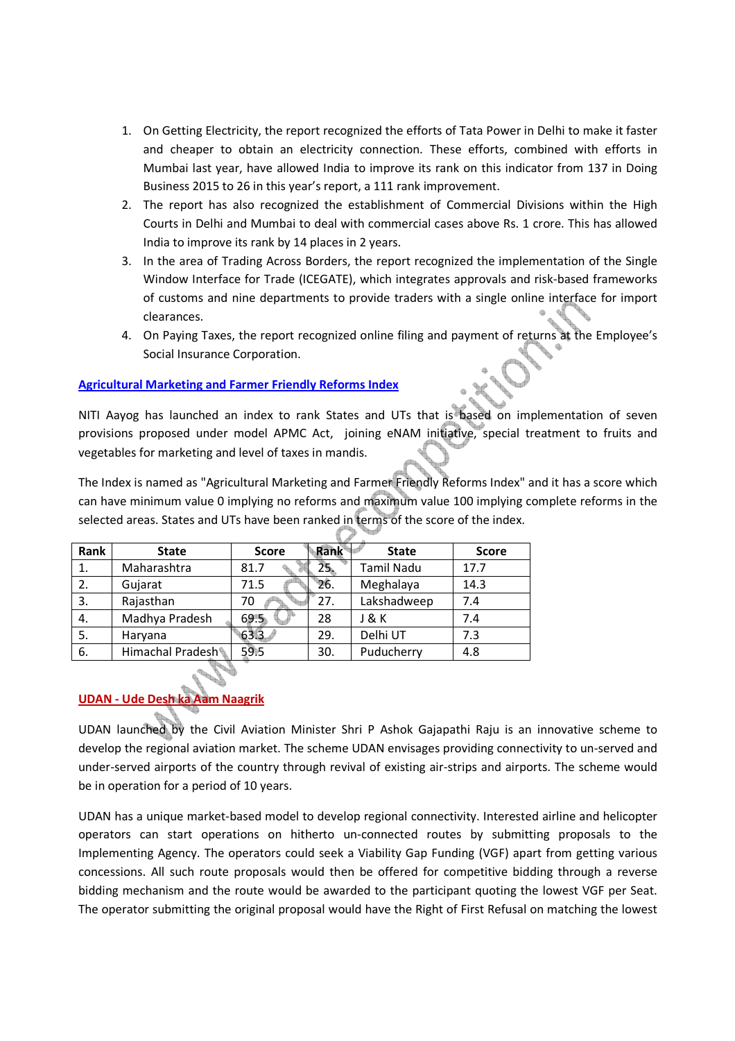- 1. On Getting Electricity, the report recognized the efforts of Tata Power in Delhi to make it faster and cheaper to obtain an electricity connection. These efforts, combined with efforts in Mumbai last year, have allowed India to improve its rank on this indicator from 137 in Doing Business 2015 to 26 in this year's report, a 111 rank improvement.
- 2. The report has also recognized the establishment of Commercial Divisions within the High Courts in Delhi and Mumbai to deal with commercial cases above Rs. 1 crore. This has allowed India to improve its rank by 14 places in 2 years.
- 3. In the area of Trading Across Borders, the report recognized the implementation of the Single Window Interface for Trade (ICEGATE), which integrates approvals and risk-based frameworks of customs and nine departments to provide traders with a single online interface for import clearances.
- 4. On Paying Taxes, the report recognized online filing and payment of returns at the Employee's Social Insurance Corporation.

### **Agricultural Marketing and Farmer Friendly Reforms Index**

NITI Aayog has launched an index to rank States and UTs that is based on implementation of seven provisions proposed under model APMC Act, joining eNAM initiative, special treatment to fruits and vegetables for marketing and level of taxes in mandis.

The Index is named as "Agricultural Marketing and Farmer Friendly Reforms Index" and it has a score which can have minimum value 0 implying no reforms and maximum value 100 implying complete reforms in the selected areas. States and UTs have been ranked in terms of the score of the index.

| Rank | <b>State</b>     | <b>Score</b> | Rank   | <b>State</b> | <b>Score</b> |
|------|------------------|--------------|--------|--------------|--------------|
| 1.   | Maharashtra      | 81.7         | $25 -$ | Tamil Nadu   | 17.7         |
| 2.   | Gujarat          | 71.5         | 26.    | Meghalaya    | 14.3         |
| 3.   | Rajasthan        | 70           | 27.    | Lakshadweep  | 7.4          |
| 4.   | Madhya Pradesh   | 69.5         | 28     | J&K          | 7.4          |
| 5.   | Haryana          | 633          | 29.    | Delhi UT     | 7.3          |
| 6.   | Himachal Pradesh | 59.5         | 30.    | Puducherry   | 4.8          |

## **UDAN - Ude Desh ka Aam Naagrik**

UDAN launched by the Civil Aviation Minister Shri P Ashok Gajapathi Raju is an innovative scheme to develop the regional aviation market. The scheme UDAN envisages providing connectivity to un-served and under-served airports of the country through revival of existing air-strips and airports. The scheme would be in operation for a period of 10 years.

UDAN has a unique market-based model to develop regional connectivity. Interested airline and helicopter operators can start operations on hitherto un-connected routes by submitting proposals to the Implementing Agency. The operators could seek a Viability Gap Funding (VGF) apart from getting various concessions. All such route proposals would then be offered for competitive bidding through a reverse bidding mechanism and the route would be awarded to the participant quoting the lowest VGF per Seat. The operator submitting the original proposal would have the Right of First Refusal on matching the lowest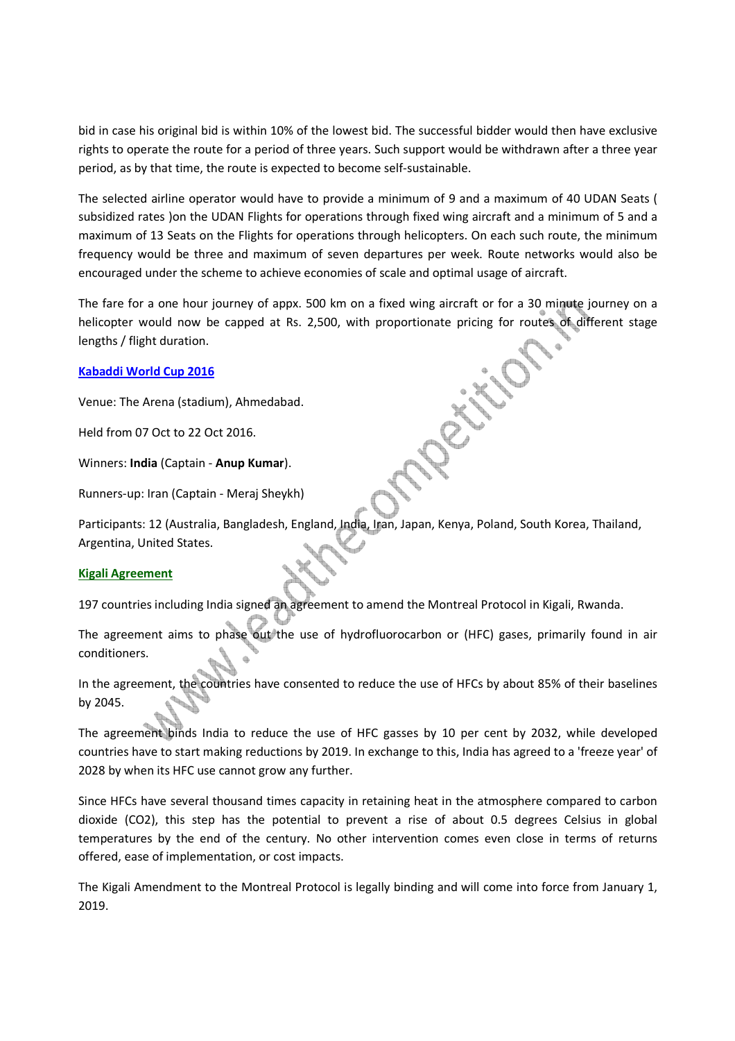bid in case his original bid is within 10% of the lowest bid. The successful bidder would then have exclusive rights to operate the route for a period of three years. Such support would be withdrawn after a three year period, as by that time, the route is expected to become self-sustainable.

The selected airline operator would have to provide a minimum of 9 and a maximum of 40 UDAN Seats ( subsidized rates )on the UDAN Flights for operations through fixed wing aircraft and a minimum of 5 and a maximum of 13 Seats on the Flights for operations through helicopters. On each such route, the minimum frequency would be three and maximum of seven departures per week. Route networks would also be encouraged under the scheme to achieve economies of scale and optimal usage of aircraft.

The fare for a one hour journey of appx. 500 km on a fixed wing aircraft or for a 30 minute journey on a helicopter would now be capped at Rs. 2,500, with proportionate pricing for routes of different stage lengths / flight duration.

### **Kabaddi World Cup 2016**

Venue: The Arena (stadium), Ahmedabad.

Held from 07 Oct to 22 Oct 2016.

Winners: **India** (Captain - **Anup Kumar**).

Runners-up: Iran (Captain - Meraj Sheykh)

Participants: 12 (Australia, Bangladesh, England, India, Iran, Japan, Kenya, Poland, South Korea, Thailand, Argentina, United States.

### **Kigali Agreement**

197 countries including India signed an agreement to amend the Montreal Protocol in Kigali, Rwanda.

The agreement aims to phase out the use of hydrofluorocarbon or (HFC) gases, primarily found in air conditioners.

In the agreement, the countries have consented to reduce the use of HFCs by about 85% of their baselines by 2045.

The agreement binds India to reduce the use of HFC gasses by 10 per cent by 2032, while developed countries have to start making reductions by 2019. In exchange to this, India has agreed to a 'freeze year' of 2028 by when its HFC use cannot grow any further.

Since HFCs have several thousand times capacity in retaining heat in the atmosphere compared to carbon dioxide (CO2), this step has the potential to prevent a rise of about 0.5 degrees Celsius in global temperatures by the end of the century. No other intervention comes even close in terms of returns offered, ease of implementation, or cost impacts.

The Kigali Amendment to the Montreal Protocol is legally binding and will come into force from January 1, 2019.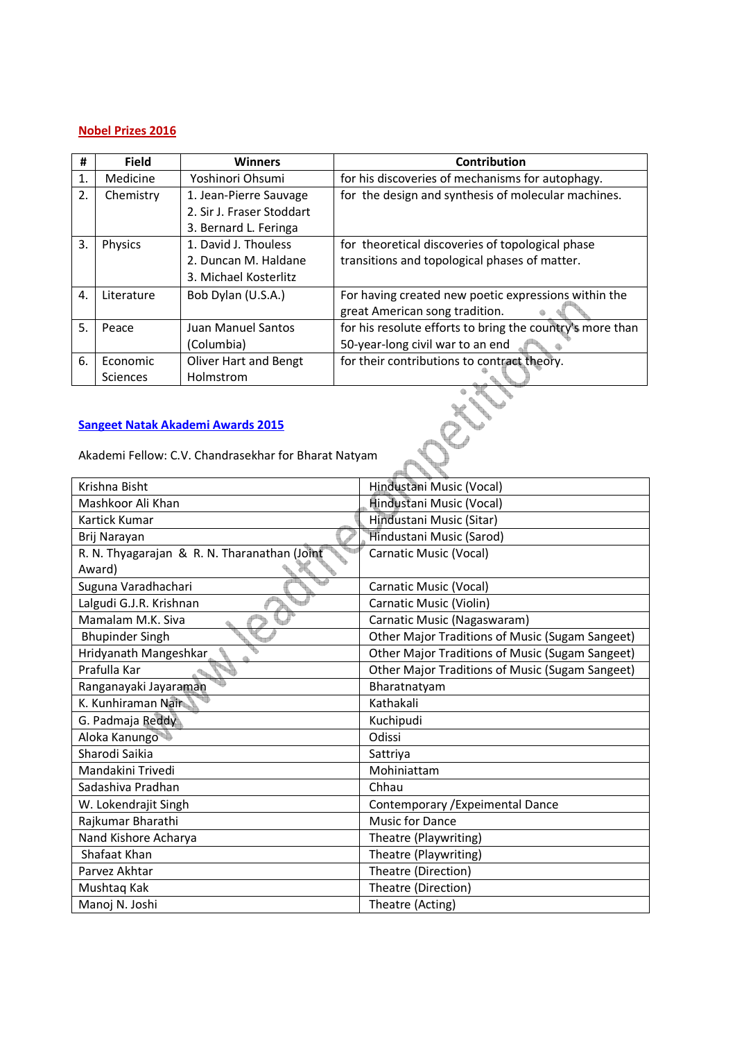### **Nobel Prizes 2016**

| #  | <b>Field</b> | <b>Winners</b>            | Contribution                                              |
|----|--------------|---------------------------|-----------------------------------------------------------|
| 1. | Medicine     | Yoshinori Ohsumi          | for his discoveries of mechanisms for autophagy.          |
| 2. | Chemistry    | 1. Jean-Pierre Sauvage    | for the design and synthesis of molecular machines.       |
|    |              | 2. Sir J. Fraser Stoddart |                                                           |
|    |              | 3. Bernard L. Feringa     |                                                           |
| 3. | Physics      | 1. David J. Thouless      | for theoretical discoveries of topological phase          |
|    |              | 2. Duncan M. Haldane      | transitions and topological phases of matter.             |
|    |              | 3. Michael Kosterlitz     |                                                           |
| 4. | Literature   | Bob Dylan (U.S.A.)        | For having created new poetic expressions within the      |
|    |              |                           | great American song tradition.                            |
| 5. | Peace        | Juan Manuel Santos        | for his resolute efforts to bring the country's more than |
|    |              | (Columbia)                | 50-year-long civil war to an end                          |
| 6. | Economic     | Oliver Hart and Bengt     | for their contributions to contract theory.               |
|    | Sciences     | Holmstrom                 |                                                           |

### **Sangeet Natak Akademi Awards 2015**

Akademi Fellow: C.V. Chandrasekhar for Bharat Natyam

| Krishna Bisht                                | Hindustani Music (Vocal)                        |
|----------------------------------------------|-------------------------------------------------|
| Mashkoor Ali Khan                            | Hindustani Music (Vocal)                        |
| Kartick Kumar                                | Hindustani Music (Sitar)                        |
| Brij Narayan                                 | Hindustani Music (Sarod)                        |
| R. N. Thyagarajan & R. N. Tharanathan (Joint | Carnatic Music (Vocal)                          |
| Award)                                       |                                                 |
| Suguna Varadhachari                          | Carnatic Music (Vocal)                          |
| Lalgudi G.J.R. Krishnan                      | Carnatic Music (Violin)                         |
| Mamalam M.K. Siva                            | Carnatic Music (Nagaswaram)                     |
| <b>Bhupinder Singh</b>                       | Other Major Traditions of Music (Sugam Sangeet) |
| Hridyanath Mangeshkar                        | Other Major Traditions of Music (Sugam Sangeet) |
| Prafulla Kar                                 | Other Major Traditions of Music (Sugam Sangeet) |
| Ranganayaki Jayaraman                        | Bharatnatyam                                    |
| K. Kunhiraman Nair                           | Kathakali                                       |
| G. Padmaja Reddy                             | Kuchipudi                                       |
| Aloka Kanungo                                | Odissi                                          |
| Sharodi Saikia                               | Sattriya                                        |
| Mandakini Trivedi                            | Mohiniattam                                     |
| Sadashiya Pradhan                            | Chhau                                           |
| W. Lokendrajit Singh                         | Contemporary / Expeimental Dance                |
| Rajkumar Bharathi                            | <b>Music for Dance</b>                          |
| Nand Kishore Acharya                         | Theatre (Playwriting)                           |
| Shafaat Khan                                 | Theatre (Playwriting)                           |
| Parvez Akhtar                                | Theatre (Direction)                             |
| Mushtaq Kak                                  | Theatre (Direction)                             |
| Manoj N. Joshi                               | Theatre (Acting)                                |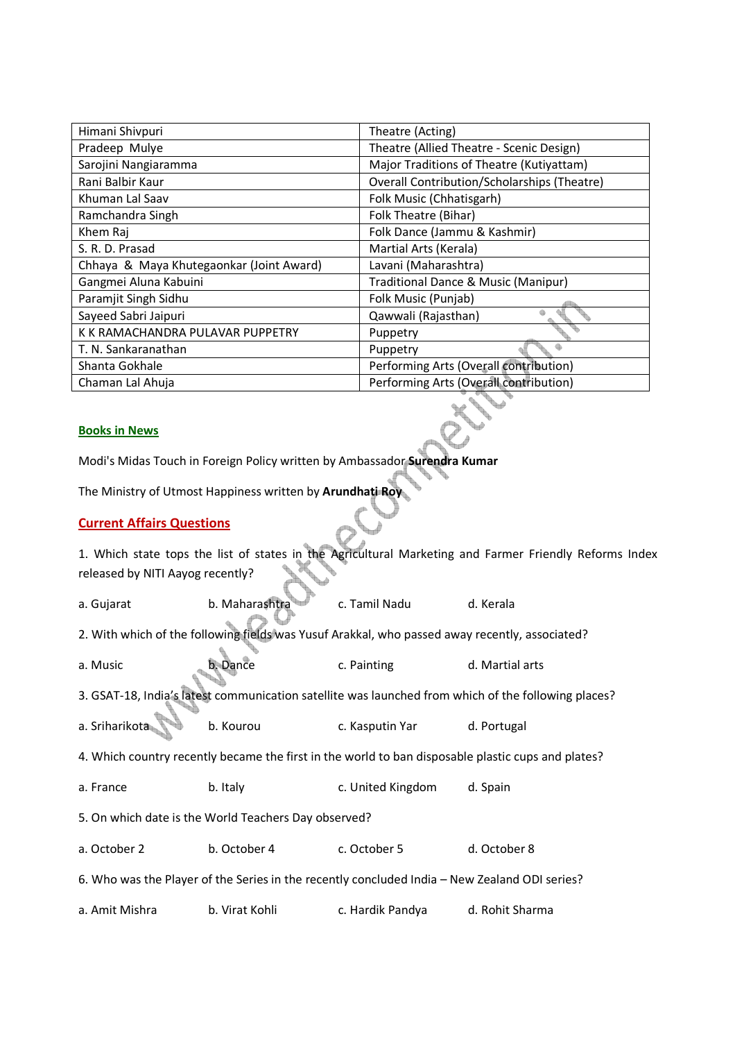| Himani Shivpuri                          | Theatre (Acting)                                   |
|------------------------------------------|----------------------------------------------------|
| Pradeep Mulye                            | Theatre (Allied Theatre - Scenic Design)           |
| Sarojini Nangiaramma                     | Major Traditions of Theatre (Kutiyattam)           |
| Rani Balbir Kaur                         | <b>Overall Contribution/Scholarships (Theatre)</b> |
| Khuman Lal Saav                          | Folk Music (Chhatisgarh)                           |
| Ramchandra Singh                         | Folk Theatre (Bihar)                               |
| Khem Raj                                 | Folk Dance (Jammu & Kashmir)                       |
| S. R. D. Prasad                          | Martial Arts (Kerala)                              |
| Chhaya & Maya Khutegaonkar (Joint Award) | Lavani (Maharashtra)                               |
| Gangmei Aluna Kabuini                    | Traditional Dance & Music (Manipur)                |
| Paramjit Singh Sidhu                     | Folk Music (Punjab)                                |
| Sayeed Sabri Jaipuri                     | Qawwali (Rajasthan)                                |
| K K RAMACHANDRA PULAVAR PUPPETRY         | Puppetry                                           |
| T. N. Sankaranathan                      | Puppetry                                           |
| Shanta Gokhale                           | Performing Arts (Overall contribution)             |
| Chaman Lal Ahuja                         | Performing Arts (Overall contribution)             |

#### **Books in News**

Modi's Midas Touch in Foreign Policy written by Ambassador **Surendra Kumar**

The Ministry of Utmost Happiness written by **Arundhati Roy**

### **Current Affairs Questions**

1. Which state tops the list of states in the Agricultural Marketing and Farmer Friendly Reforms Index released by NITI Aayog recently?

a. Gujarat b. Maharashtra c. Tamil Nadu d. Kerala

2. With which of the following fields was Yusuf Arakkal, who passed away recently, associated?

a. Music b. Dance c. Painting d. Martial arts

3. GSAT-18, India's latest communication satellite was launched from which of the following places?

| a. Sriharikota | b. Kourou | c. Kasputin Yar | d. Portugal |  |
|----------------|-----------|-----------------|-------------|--|
|                |           |                 |             |  |

4. Which country recently became the first in the world to ban disposable plastic cups and plates?

a. France b. Italy c. United Kingdom d. Spain

5. On which date is the World Teachers Day observed?

a. October 2 b. October 4 c. October 5 d. October 8

6. Who was the Player of the Series in the recently concluded India – New Zealand ODI series?

a. Amit Mishra b. Virat Kohli c. Hardik Pandya d. Rohit Sharma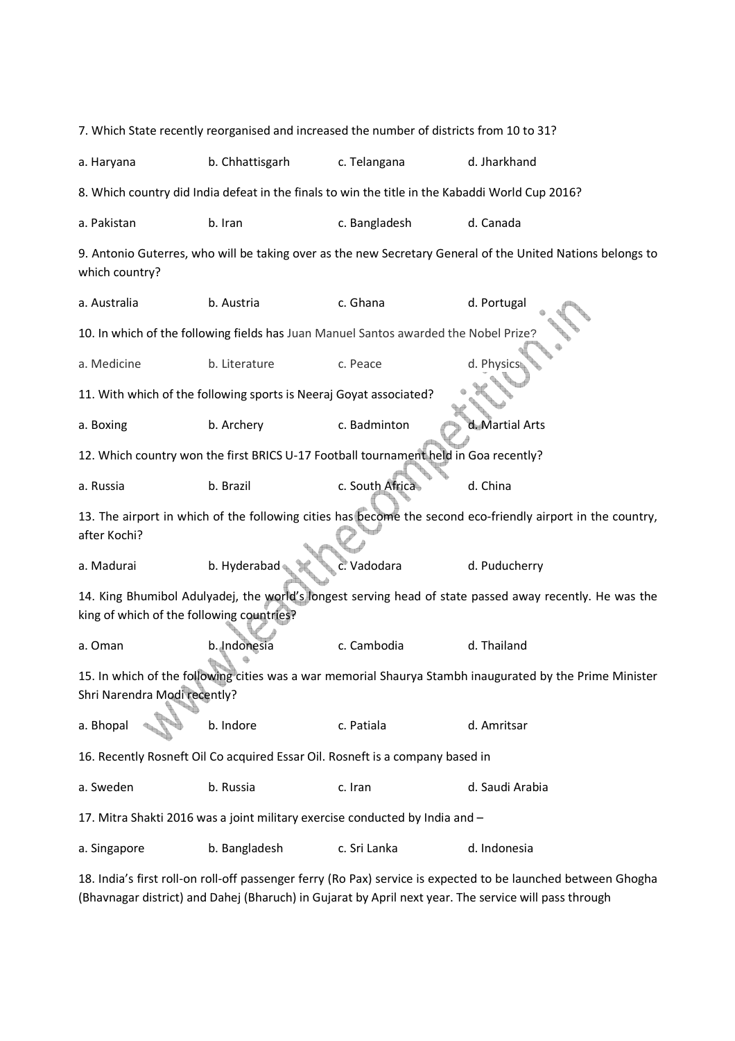| 7. Which State recently reorganised and increased the number of districts from 10 to 31?                                                             |                                                                    |                                                                                                 |                                                                                                            |  |  |
|------------------------------------------------------------------------------------------------------------------------------------------------------|--------------------------------------------------------------------|-------------------------------------------------------------------------------------------------|------------------------------------------------------------------------------------------------------------|--|--|
| a. Haryana                                                                                                                                           | b. Chhattisgarh                                                    | c. Telangana                                                                                    | d. Jharkhand                                                                                               |  |  |
|                                                                                                                                                      |                                                                    | 8. Which country did India defeat in the finals to win the title in the Kabaddi World Cup 2016? |                                                                                                            |  |  |
| a. Pakistan                                                                                                                                          | b. Iran                                                            | c. Bangladesh                                                                                   | d. Canada                                                                                                  |  |  |
| which country?                                                                                                                                       |                                                                    |                                                                                                 | 9. Antonio Guterres, who will be taking over as the new Secretary General of the United Nations belongs to |  |  |
| a. Australia                                                                                                                                         | b. Austria                                                         | c. Ghana                                                                                        | d. Portugal                                                                                                |  |  |
|                                                                                                                                                      |                                                                    | 10. In which of the following fields has Juan Manuel Santos awarded the Nobel Prize?            |                                                                                                            |  |  |
| a. Medicine                                                                                                                                          | b. Literature                                                      | c. Peace                                                                                        | d. Physic                                                                                                  |  |  |
|                                                                                                                                                      | 11. With which of the following sports is Neeraj Goyat associated? |                                                                                                 |                                                                                                            |  |  |
| a. Boxing                                                                                                                                            | b. Archery                                                         | c. Badminton                                                                                    | d. Martial Arts                                                                                            |  |  |
|                                                                                                                                                      |                                                                    | 12. Which country won the first BRICS U-17 Football tournament held in Goa recently?            |                                                                                                            |  |  |
| a. Russia                                                                                                                                            | b. Brazil                                                          | c. South Africa                                                                                 | d. China                                                                                                   |  |  |
| 13. The airport in which of the following cities has become the second eco-friendly airport in the country,<br>after Kochi?                          |                                                                    |                                                                                                 |                                                                                                            |  |  |
| a. Madurai                                                                                                                                           | b. Hyderabad                                                       | c. Vadodara                                                                                     | d. Puducherry                                                                                              |  |  |
| 14. King Bhumibol Adulyadej, the world's longest serving head of state passed away recently. He was the<br>king of which of the following countries? |                                                                    |                                                                                                 |                                                                                                            |  |  |
| a. Oman                                                                                                                                              | b. Indonesia                                                       | c. Cambodia                                                                                     | d. Thailand                                                                                                |  |  |
| 15. In which of the following cities was a war memorial Shaurya Stambh inaugurated by the Prime Minister<br>Shri Narendra Modi recently?             |                                                                    |                                                                                                 |                                                                                                            |  |  |
| a. Bhopal                                                                                                                                            | b. Indore                                                          | c. Patiala                                                                                      | d. Amritsar                                                                                                |  |  |
| 16. Recently Rosneft Oil Co acquired Essar Oil. Rosneft is a company based in                                                                        |                                                                    |                                                                                                 |                                                                                                            |  |  |
| a. Sweden                                                                                                                                            | b. Russia                                                          | c. Iran                                                                                         | d. Saudi Arabia                                                                                            |  |  |
| 17. Mitra Shakti 2016 was a joint military exercise conducted by India and -                                                                         |                                                                    |                                                                                                 |                                                                                                            |  |  |
| a. Singapore                                                                                                                                         | b. Bangladesh                                                      | c. Sri Lanka                                                                                    | d. Indonesia                                                                                               |  |  |
| 18. India's first roll-on roll-off passenger ferry (Ro Pax) service is expected to be launched between Ghogha                                        |                                                                    |                                                                                                 |                                                                                                            |  |  |

(Bhavnagar district) and Dahej (Bharuch) in Gujarat by April next year. The service will pass through